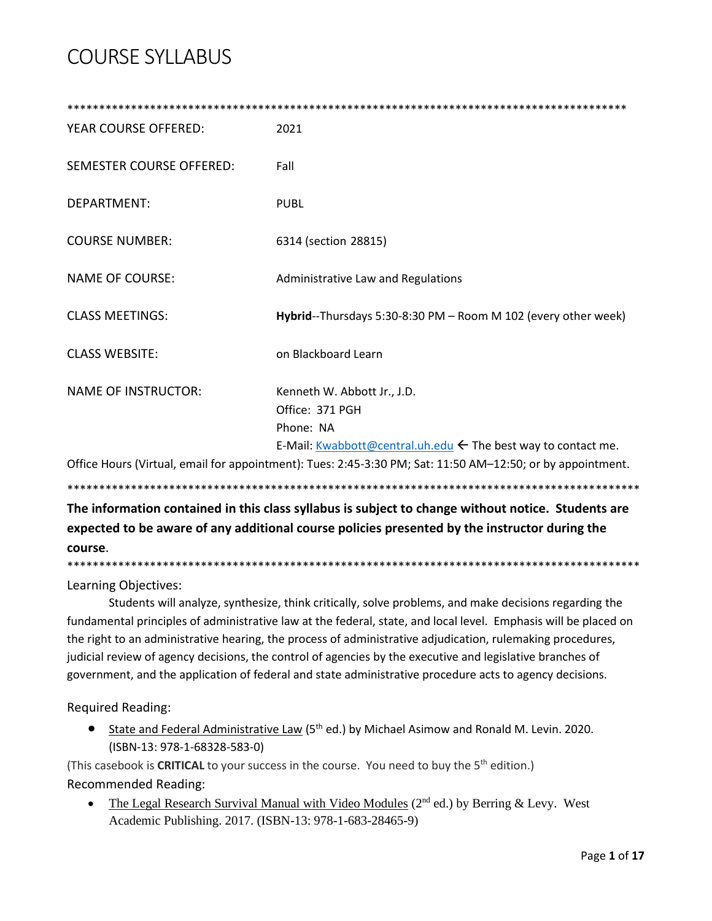| YEAR COURSE OFFERED:                                                                                       | 2021                                                                                                                                    |  |
|------------------------------------------------------------------------------------------------------------|-----------------------------------------------------------------------------------------------------------------------------------------|--|
| <b>SEMESTER COURSE OFFERED:</b>                                                                            | Fall                                                                                                                                    |  |
| <b>DEPARTMENT:</b>                                                                                         | <b>PUBL</b>                                                                                                                             |  |
| <b>COURSE NUMBER:</b>                                                                                      | 6314 (section 28815)                                                                                                                    |  |
| <b>NAME OF COURSE:</b>                                                                                     | Administrative Law and Regulations                                                                                                      |  |
| <b>CLASS MEETINGS:</b>                                                                                     | Hybrid--Thursdays 5:30-8:30 PM - Room M 102 (every other week)                                                                          |  |
| <b>CLASS WEBSITE:</b>                                                                                      | on Blackboard Learn                                                                                                                     |  |
| <b>NAME OF INSTRUCTOR:</b>                                                                                 | Kenneth W. Abbott Jr., J.D.<br>Office: 371 PGH<br>Phone: NA<br>E-Mail: Kwabbott@central.uh.edu $\leftarrow$ The best way to contact me. |  |
| Office Hours (Virtual, email for appointment): Tues: 2:45-3:30 PM; Sat: 11:50 AM-12:50; or by appointment. |                                                                                                                                         |  |
|                                                                                                            |                                                                                                                                         |  |

**The information contained in this class syllabus is subject to change without notice. Students are expected to be aware of any additional course policies presented by the instructor during the course**.

\*\*\*\*\*\*\*\*\*\*\*\*\*\*\*\*\*\*\*\*\*\*\*\*\*\*\*\*\*\*\*\*\*\*\*\*\*\*\*\*\*\*\*\*\*\*\*\*\*\*\*\*\*\*\*\*\*\*\*\*\*\*\*\*\*\*\*\*\*\*\*\*\*\*\*\*\*\*\*\*\*\*\*\*\*\*\*\*\*\*

Learning Objectives:

Students will analyze, synthesize, think critically, solve problems, and make decisions regarding the fundamental principles of administrative law at the federal, state, and local level. Emphasis will be placed on the right to an administrative hearing, the process of administrative adjudication, rulemaking procedures, judicial review of agency decisions, the control of agencies by the executive and legislative branches of government, and the application of federal and state administrative procedure acts to agency decisions.

Required Reading:

• State and Federal Administrative Law (5<sup>th</sup> ed.) by Michael Asimow and Ronald M. Levin. 2020. (ISBN-13: 978-1-68328-583-0)

(This casebook is CRITICAL to your success in the course. You need to buy the 5<sup>th</sup> edition.) Recommended Reading:

• The Legal Research Survival Manual with Video Modules ( $2<sup>nd</sup>$  ed.) by Berring & Levy. West Academic Publishing. 2017. (ISBN-13: 978-1-683-28465-9)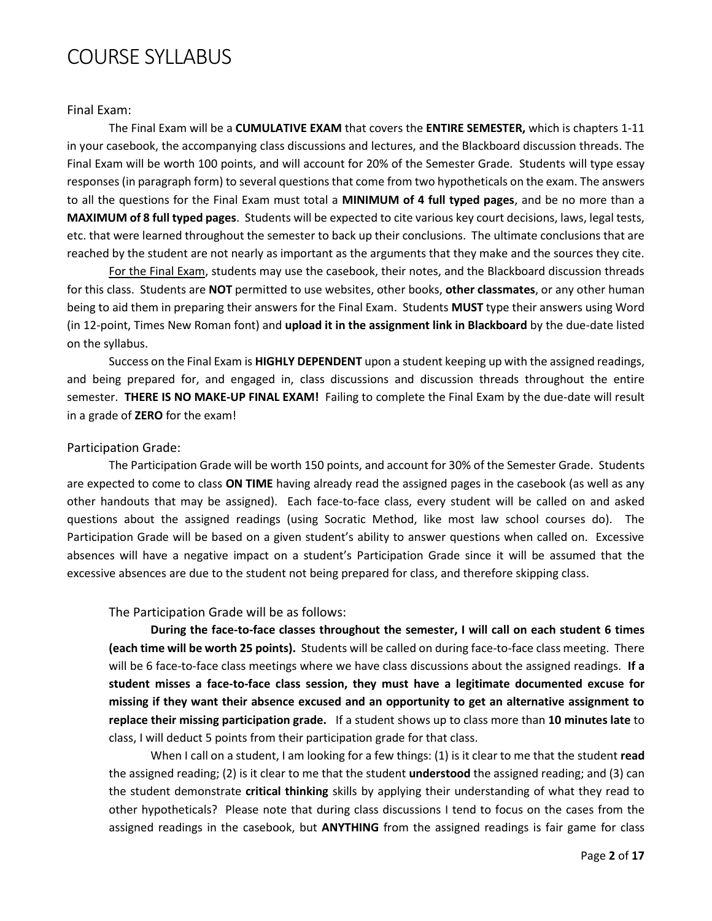#### Final Exam:

The Final Exam will be a **CUMULATIVE EXAM** that covers the **ENTIRE SEMESTER,** which is chapters 1-11 in your casebook, the accompanying class discussions and lectures, and the Blackboard discussion threads. The Final Exam will be worth 100 points, and will account for 20% of the Semester Grade. Students will type essay responses (in paragraph form) to several questions that come from two hypotheticals on the exam. The answers to all the questions for the Final Exam must total a **MINIMUM of 4 full typed pages**, and be no more than a **MAXIMUM of 8 full typed pages**. Students will be expected to cite various key court decisions, laws, legal tests, etc. that were learned throughout the semester to back up their conclusions. The ultimate conclusions that are reached by the student are not nearly as important as the arguments that they make and the sources they cite.

For the Final Exam, students may use the casebook, their notes, and the Blackboard discussion threads for this class. Students are **NOT** permitted to use websites, other books, **other classmates**, or any other human being to aid them in preparing their answers for the Final Exam. Students **MUST** type their answers using Word (in 12-point, Times New Roman font) and **upload it in the assignment link in Blackboard** by the due-date listed on the syllabus.

Success on the Final Exam is **HIGHLY DEPENDENT** upon a student keeping up with the assigned readings, and being prepared for, and engaged in, class discussions and discussion threads throughout the entire semester. **THERE IS NO MAKE-UP FINAL EXAM!** Failing to complete the Final Exam by the due-date will result in a grade of **ZERO** for the exam!

#### Participation Grade:

The Participation Grade will be worth 150 points, and account for 30% of the Semester Grade. Students are expected to come to class **ON TIME** having already read the assigned pages in the casebook (as well as any other handouts that may be assigned). Each face-to-face class, every student will be called on and asked questions about the assigned readings (using Socratic Method, like most law school courses do). The Participation Grade will be based on a given student's ability to answer questions when called on. Excessive absences will have a negative impact on a student's Participation Grade since it will be assumed that the excessive absences are due to the student not being prepared for class, and therefore skipping class.

The Participation Grade will be as follows:

**During the face-to-face classes throughout the semester, I will call on each student 6 times (each time will be worth 25 points).** Students will be called on during face-to-face class meeting. There will be 6 face-to-face class meetings where we have class discussions about the assigned readings. **If a student misses a face-to-face class session, they must have a legitimate documented excuse for missing if they want their absence excused and an opportunity to get an alternative assignment to replace their missing participation grade.** If a student shows up to class more than **10 minutes late** to class, I will deduct 5 points from their participation grade for that class.

When I call on a student, I am looking for a few things: (1) is it clear to me that the student **read** the assigned reading; (2) is it clear to me that the student **understood** the assigned reading; and (3) can the student demonstrate **critical thinking** skills by applying their understanding of what they read to other hypotheticals? Please note that during class discussions I tend to focus on the cases from the assigned readings in the casebook, but **ANYTHING** from the assigned readings is fair game for class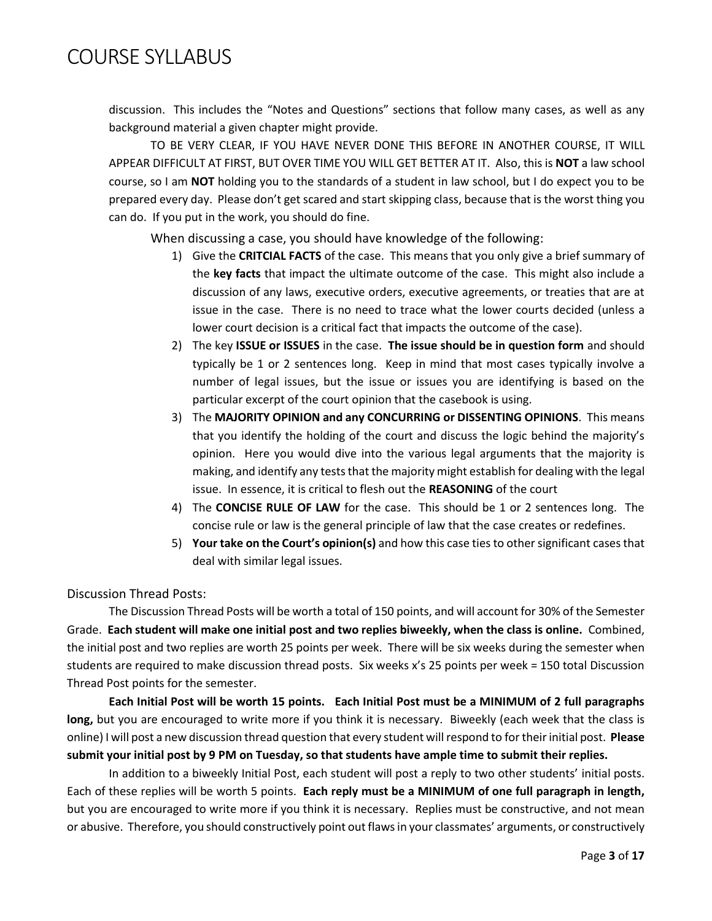discussion. This includes the "Notes and Questions" sections that follow many cases, as well as any background material a given chapter might provide.

TO BE VERY CLEAR, IF YOU HAVE NEVER DONE THIS BEFORE IN ANOTHER COURSE, IT WILL APPEAR DIFFICULT AT FIRST, BUT OVER TIME YOU WILL GET BETTER AT IT. Also, this is **NOT** a law school course, so I am **NOT** holding you to the standards of a student in law school, but I do expect you to be prepared every day. Please don't get scared and start skipping class, because that is the worst thing you can do. If you put in the work, you should do fine.

When discussing a case, you should have knowledge of the following:

- 1) Give the **CRITCIAL FACTS** of the case. This means that you only give a brief summary of the **key facts** that impact the ultimate outcome of the case. This might also include a discussion of any laws, executive orders, executive agreements, or treaties that are at issue in the case. There is no need to trace what the lower courts decided (unless a lower court decision is a critical fact that impacts the outcome of the case).
- 2) The key **ISSUE or ISSUES** in the case. **The issue should be in question form** and should typically be 1 or 2 sentences long. Keep in mind that most cases typically involve a number of legal issues, but the issue or issues you are identifying is based on the particular excerpt of the court opinion that the casebook is using.
- 3) The **MAJORITY OPINION and any CONCURRING or DISSENTING OPINIONS**. This means that you identify the holding of the court and discuss the logic behind the majority's opinion. Here you would dive into the various legal arguments that the majority is making, and identify any tests that the majority might establish for dealing with the legal issue. In essence, it is critical to flesh out the **REASONING** of the court
- 4) The **CONCISE RULE OF LAW** for the case. This should be 1 or 2 sentences long. The concise rule or law is the general principle of law that the case creates or redefines.
- 5) **Your take on the Court's opinion(s)** and how this case ties to other significant cases that deal with similar legal issues.

Discussion Thread Posts:

The Discussion Thread Posts will be worth a total of 150 points, and will account for 30% of the Semester Grade. **Each student will make one initial post and two replies biweekly, when the class is online.** Combined, the initial post and two replies are worth 25 points per week. There will be six weeks during the semester when students are required to make discussion thread posts. Six weeks x's 25 points per week = 150 total Discussion Thread Post points for the semester.

**Each Initial Post will be worth 15 points. Each Initial Post must be a MINIMUM of 2 full paragraphs long,** but you are encouraged to write more if you think it is necessary. Biweekly (each week that the class is online) I will post a new discussion thread question that every student will respond to for their initial post. **Please submit your initial post by 9 PM on Tuesday, so that students have ample time to submit their replies.**

In addition to a biweekly Initial Post, each student will post a reply to two other students' initial posts. Each of these replies will be worth 5 points. **Each reply must be a MINIMUM of one full paragraph in length,**  but you are encouraged to write more if you think it is necessary. Replies must be constructive, and not mean or abusive. Therefore, you should constructively point out flaws in your classmates' arguments, or constructively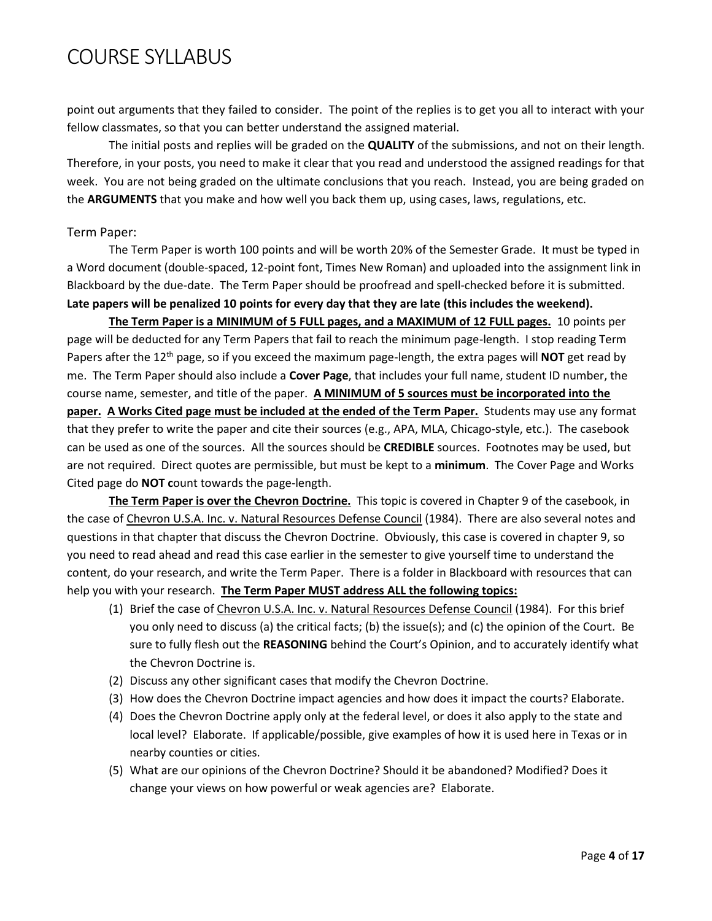point out arguments that they failed to consider. The point of the replies is to get you all to interact with your fellow classmates, so that you can better understand the assigned material.

The initial posts and replies will be graded on the **QUALITY** of the submissions, and not on their length. Therefore, in your posts, you need to make it clear that you read and understood the assigned readings for that week. You are not being graded on the ultimate conclusions that you reach. Instead, you are being graded on the **ARGUMENTS** that you make and how well you back them up, using cases, laws, regulations, etc.

#### Term Paper:

The Term Paper is worth 100 points and will be worth 20% of the Semester Grade. It must be typed in a Word document (double-spaced, 12-point font, Times New Roman) and uploaded into the assignment link in Blackboard by the due-date. The Term Paper should be proofread and spell-checked before it is submitted. **Late papers will be penalized 10 points for every day that they are late (this includes the weekend).**

**The Term Paper is a MINIMUM of 5 FULL pages, and a MAXIMUM of 12 FULL pages.** 10 points per page will be deducted for any Term Papers that fail to reach the minimum page-length. I stop reading Term Papers after the 12<sup>th</sup> page, so if you exceed the maximum page-length, the extra pages will **NOT** get read by me. The Term Paper should also include a **Cover Page**, that includes your full name, student ID number, the course name, semester, and title of the paper. **A MINIMUM of 5 sources must be incorporated into the paper. A Works Cited page must be included at the ended of the Term Paper.** Students may use any format that they prefer to write the paper and cite their sources (e.g., APA, MLA, Chicago-style, etc.). The casebook can be used as one of the sources. All the sources should be **CREDIBLE** sources. Footnotes may be used, but are not required. Direct quotes are permissible, but must be kept to a **minimum**. The Cover Page and Works Cited page do **NOT c**ount towards the page-length.

**The Term Paper is over the Chevron Doctrine.** This topic is covered in Chapter 9 of the casebook, in the case of Chevron U.S.A. Inc. v. Natural Resources Defense Council (1984). There are also several notes and questions in that chapter that discuss the Chevron Doctrine. Obviously, this case is covered in chapter 9, so you need to read ahead and read this case earlier in the semester to give yourself time to understand the content, do your research, and write the Term Paper. There is a folder in Blackboard with resources that can help you with your research. **The Term Paper MUST address ALL the following topics:**

- (1) Brief the case of Chevron U.S.A. Inc. v. Natural Resources Defense Council (1984). For this brief you only need to discuss (a) the critical facts; (b) the issue(s); and (c) the opinion of the Court. Be sure to fully flesh out the **REASONING** behind the Court's Opinion, and to accurately identify what the Chevron Doctrine is.
- (2) Discuss any other significant cases that modify the Chevron Doctrine.
- (3) How does the Chevron Doctrine impact agencies and how does it impact the courts? Elaborate.
- (4) Does the Chevron Doctrine apply only at the federal level, or does it also apply to the state and local level? Elaborate. If applicable/possible, give examples of how it is used here in Texas or in nearby counties or cities.
- (5) What are our opinions of the Chevron Doctrine? Should it be abandoned? Modified? Does it change your views on how powerful or weak agencies are? Elaborate.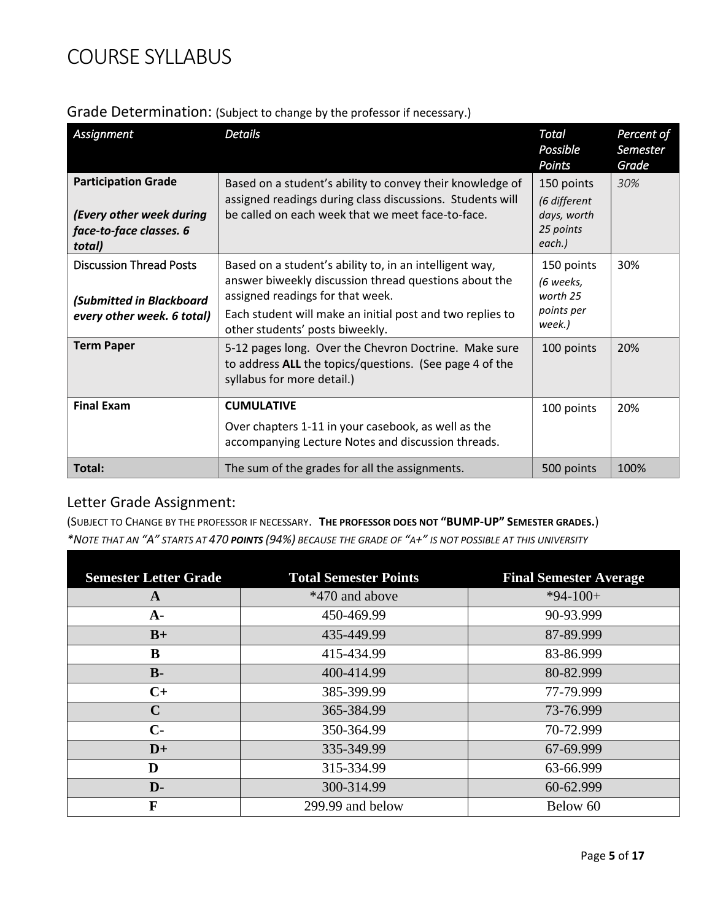| Assignment                                                                                  | <b>Details</b>                                                                                                                                                                                                                                       | <b>Total</b><br>Possible<br>Points                               | Percent of<br>Semester<br>Grade |
|---------------------------------------------------------------------------------------------|------------------------------------------------------------------------------------------------------------------------------------------------------------------------------------------------------------------------------------------------------|------------------------------------------------------------------|---------------------------------|
| <b>Participation Grade</b><br>(Every other week during<br>face-to-face classes. 6<br>total) | Based on a student's ability to convey their knowledge of<br>assigned readings during class discussions. Students will<br>be called on each week that we meet face-to-face.                                                                          | 150 points<br>(6 different<br>days, worth<br>25 points<br>each.) | 30%                             |
| <b>Discussion Thread Posts</b><br>(Submitted in Blackboard<br>every other week. 6 total)    | Based on a student's ability to, in an intelligent way,<br>answer biweekly discussion thread questions about the<br>assigned readings for that week.<br>Each student will make an initial post and two replies to<br>other students' posts biweekly. | 150 points<br>(6 weeks,<br>worth 25<br>points per<br>week.)      | 30%                             |
| <b>Term Paper</b>                                                                           | 5-12 pages long. Over the Chevron Doctrine. Make sure<br>to address ALL the topics/questions. (See page 4 of the<br>syllabus for more detail.)                                                                                                       | 100 points                                                       | 20%                             |
| <b>Final Exam</b>                                                                           | <b>CUMULATIVE</b><br>Over chapters 1-11 in your casebook, as well as the<br>accompanying Lecture Notes and discussion threads.                                                                                                                       | 100 points                                                       | 20%                             |
| Total:                                                                                      | The sum of the grades for all the assignments.                                                                                                                                                                                                       | 500 points                                                       | 100%                            |

### Letter Grade Assignment:

(SUBJECT TO CHANGE BY THE PROFESSOR IF NECESSARY. **THE PROFESSOR DOES NOT "BUMP-UP" SEMESTER GRADES.**) *\*NOTE THAT AN "A" STARTS AT 470 POINTS (94%) BECAUSE THE GRADE OF "A+" IS NOT POSSIBLE AT THIS UNIVERSITY*

| <b>Semester Letter Grade</b> | <b>Total Semester Points</b> | <b>Final Semester Average</b> |
|------------------------------|------------------------------|-------------------------------|
| A                            | *470 and above               | $*94-100+$                    |
| $A-$                         | 450-469.99                   | 90-93.999                     |
| $B+$                         | 435-449.99                   | 87-89.999                     |
| B                            | 415-434.99                   | 83-86.999                     |
| $B -$                        | 400-414.99                   | 80-82.999                     |
| $C+$                         | 385-399.99                   | 77-79.999                     |
| $\mathbf C$                  | 365-384.99                   | 73-76.999                     |
| $C-$                         | 350-364.99                   | 70-72.999                     |
| $D+$                         | 335-349.99                   | 67-69.999                     |
| D                            | 315-334.99                   | 63-66.999                     |
| D-                           | 300-314.99                   | 60-62.999                     |
| F                            | 299.99 and below             | Below 60                      |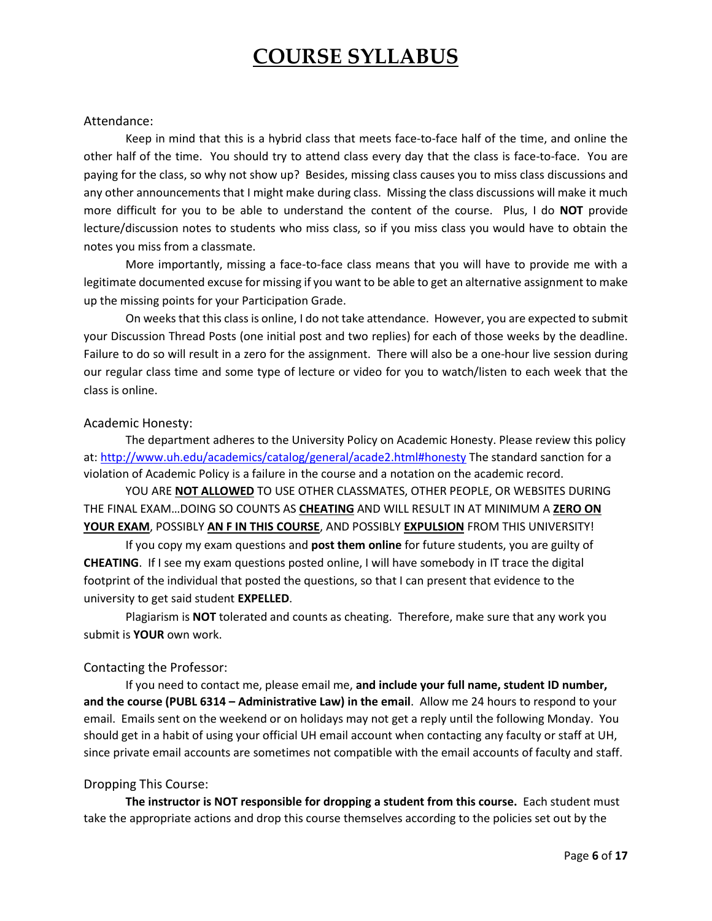#### Attendance:

Keep in mind that this is a hybrid class that meets face-to-face half of the time, and online the other half of the time. You should try to attend class every day that the class is face-to-face. You are paying for the class, so why not show up? Besides, missing class causes you to miss class discussions and any other announcements that I might make during class. Missing the class discussions will make it much more difficult for you to be able to understand the content of the course. Plus, I do **NOT** provide lecture/discussion notes to students who miss class, so if you miss class you would have to obtain the notes you miss from a classmate.

More importantly, missing a face-to-face class means that you will have to provide me with a legitimate documented excuse for missing if you want to be able to get an alternative assignment to make up the missing points for your Participation Grade.

On weeks that this class is online, I do not take attendance. However, you are expected to submit your Discussion Thread Posts (one initial post and two replies) for each of those weeks by the deadline. Failure to do so will result in a zero for the assignment. There will also be a one-hour live session during our regular class time and some type of lecture or video for you to watch/listen to each week that the class is online.

#### Academic Honesty:

The department adheres to the University Policy on Academic Honesty. Please review this policy at:<http://www.uh.edu/academics/catalog/general/acade2.html#honesty> The standard sanction for a violation of Academic Policy is a failure in the course and a notation on the academic record.

YOU ARE **NOT ALLOWED** TO USE OTHER CLASSMATES, OTHER PEOPLE, OR WEBSITES DURING THE FINAL EXAM…DOING SO COUNTS AS **CHEATING** AND WILL RESULT IN AT MINIMUM A **ZERO ON YOUR EXAM**, POSSIBLY **AN F IN THIS COURSE**, AND POSSIBLY **EXPULSION** FROM THIS UNIVERSITY!

If you copy my exam questions and **post them online** for future students, you are guilty of **CHEATING**. If I see my exam questions posted online, I will have somebody in IT trace the digital footprint of the individual that posted the questions, so that I can present that evidence to the university to get said student **EXPELLED**.

Plagiarism is **NOT** tolerated and counts as cheating. Therefore, make sure that any work you submit is **YOUR** own work.

#### Contacting the Professor:

If you need to contact me, please email me, **and include your full name, student ID number, and the course (PUBL 6314 – Administrative Law) in the email**. Allow me 24 hours to respond to your email. Emails sent on the weekend or on holidays may not get a reply until the following Monday. You should get in a habit of using your official UH email account when contacting any faculty or staff at UH, since private email accounts are sometimes not compatible with the email accounts of faculty and staff.

#### Dropping This Course:

**The instructor is NOT responsible for dropping a student from this course.** Each student must take the appropriate actions and drop this course themselves according to the policies set out by the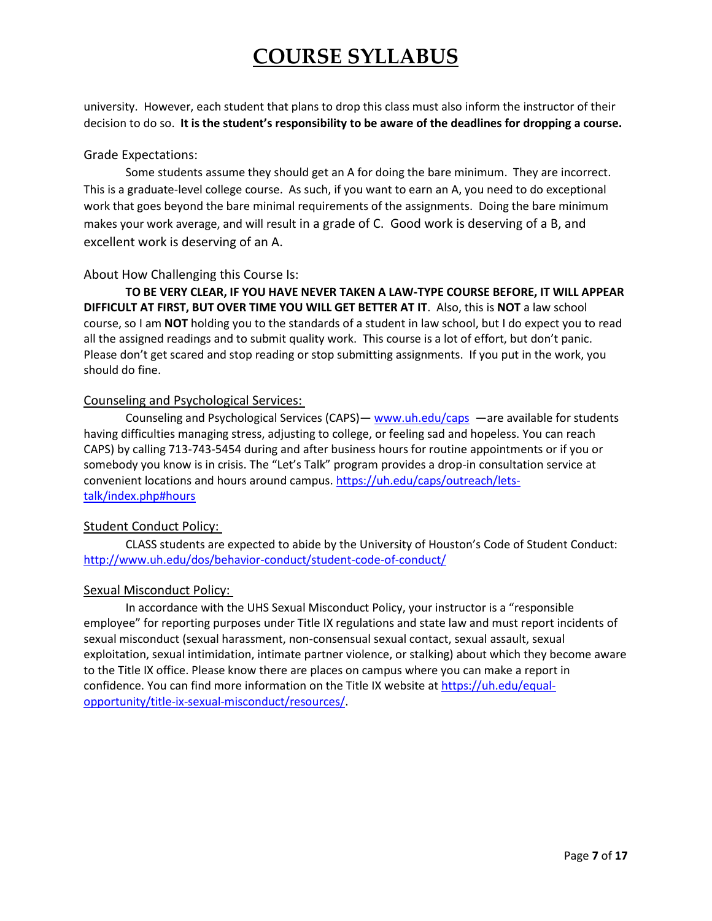university. However, each student that plans to drop this class must also inform the instructor of their decision to do so. **It is the student's responsibility to be aware of the deadlines for dropping a course.**

#### Grade Expectations:

Some students assume they should get an A for doing the bare minimum. They are incorrect. This is a graduate-level college course. As such, if you want to earn an A, you need to do exceptional work that goes beyond the bare minimal requirements of the assignments. Doing the bare minimum makes your work average, and will result in a grade of C. Good work is deserving of a B, and excellent work is deserving of an A.

#### About How Challenging this Course Is:

**TO BE VERY CLEAR, IF YOU HAVE NEVER TAKEN A LAW-TYPE COURSE BEFORE, IT WILL APPEAR DIFFICULT AT FIRST, BUT OVER TIME YOU WILL GET BETTER AT IT**. Also, this is **NOT** a law school course, so I am **NOT** holding you to the standards of a student in law school, but I do expect you to read all the assigned readings and to submit quality work. This course is a lot of effort, but don't panic. Please don't get scared and stop reading or stop submitting assignments. If you put in the work, you should do fine.

#### Counseling and Psychological Services:

Counseling and Psychological Services (CAPS) — [www.uh.edu/caps](http://www.uh.edu/caps) —are available for students having difficulties managing stress, adjusting to college, or feeling sad and hopeless. You can reach CAPS) by calling 713-743-5454 during and after business hours for routine appointments or if you or somebody you know is in crisis. The "Let's Talk" program provides a drop-in consultation service at convenient locations and hours around campus. [https://uh.edu/caps/outreach/lets](https://uh.edu/caps/outreach/lets-talk/index.php#hours)[talk/index.php#hours](https://uh.edu/caps/outreach/lets-talk/index.php#hours)

#### Student Conduct Policy:

CLASS students are expected to abide by the University of Houston's Code of Student Conduct: <http://www.uh.edu/dos/behavior-conduct/student-code-of-conduct/>

#### Sexual Misconduct Policy:

In accordance with the UHS Sexual Misconduct Policy, your instructor is a "responsible employee" for reporting purposes under Title IX regulations and state law and must report incidents of sexual misconduct (sexual harassment, non-consensual sexual contact, sexual assault, sexual exploitation, sexual intimidation, intimate partner violence, or stalking) about which they become aware to the Title IX office. Please know there are places on campus where you can make a report in confidence. You can find more information on the Title IX website a[t https://uh.edu/equal](https://uh.edu/equal-opportunity/title-ix-sexual-misconduct/resources/)[opportunity/title-ix-sexual-misconduct/resources/.](https://uh.edu/equal-opportunity/title-ix-sexual-misconduct/resources/)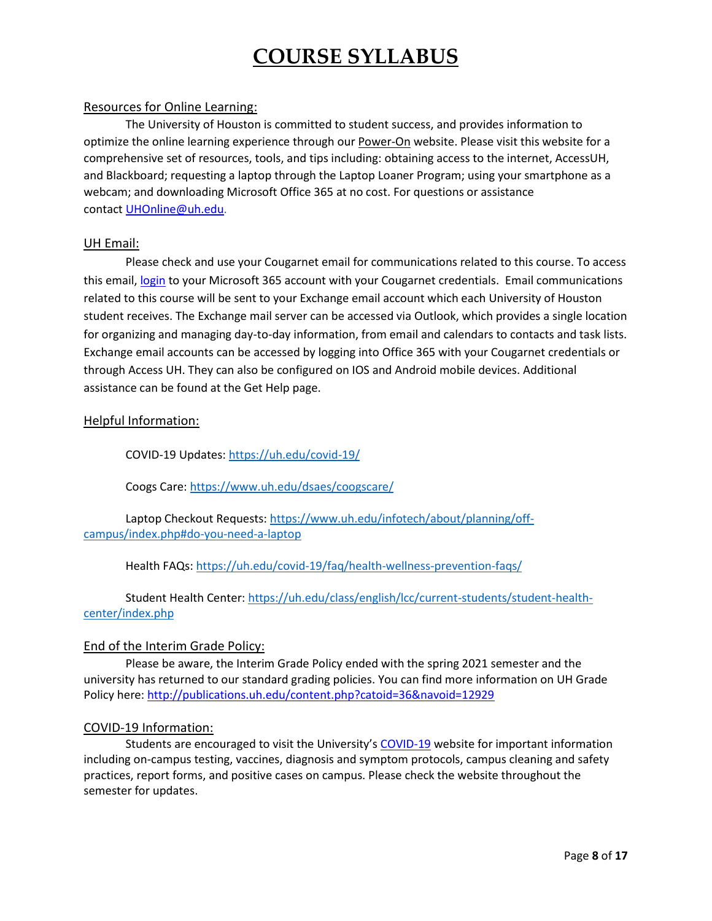#### Resources for Online Learning:

The University of Houston is committed to student success, and provides information to optimize the online learning experience through our [Power-On](https://uh.edu/power-on/learning/) website. Please visit this website for a comprehensive set of resources, tools, and tips including: obtaining access to the internet, AccessUH, and Blackboard; requesting a laptop through the Laptop Loaner Program; using your smartphone as a webcam; and downloading Microsoft Office 365 at no cost. For questions or assistance contact [UHOnline@uh.edu.](mailto:uhonline@uh.edu)

#### UH Email:

Please check and use your Cougarnet email for communications related to this course. To access this email, [login](https://uh.edu/infotech/services/office365/how-to-login/) to your Microsoft 365 account with your Cougarnet credentials. Email communications related to this course will be sent to your Exchange email account which each University of Houston student receives. The Exchange mail server can be accessed via Outlook, which provides a single location for organizing and managing day-to-day information, from email and calendars to contacts and task lists. Exchange email accounts can be accessed by logging into Office 365 with your Cougarnet credentials or through Access UH. They can also be configured on IOS and Android mobile devices. Additional assistance can be found at the Get Help page.

#### Helpful Information:

COVID-19 Updates[: https://uh.edu/covid-19/](https://uh.edu/covid-19/)

Coogs Care:<https://www.uh.edu/dsaes/coogscare/>

Laptop Checkout Requests: [https://www.uh.edu/infotech/about/planning/off](https://www.uh.edu/infotech/about/planning/off-campus/index.php#do-you-need-a-laptop)[campus/index.php#do-you-need-a-laptop](https://www.uh.edu/infotech/about/planning/off-campus/index.php#do-you-need-a-laptop)

Health FAQs[: https://uh.edu/covid-19/faq/health-wellness-prevention-faqs/](https://uh.edu/covid-19/faq/health-wellness-prevention-faqs/)

Student Health Center: [https://uh.edu/class/english/lcc/current-students/student-health](https://uh.edu/class/english/lcc/current-students/student-health-center/index.php)[center/index.php](https://uh.edu/class/english/lcc/current-students/student-health-center/index.php)

#### End of the Interim Grade Policy:

Please be aware, the Interim Grade Policy ended with the spring 2021 semester and the university has returned to our standard grading policies. You can find more information on UH Grade Policy here[: http://publications.uh.edu/content.php?catoid=36&navoid=12929](http://publications.uh.edu/content.php?catoid=36&navoid=12929)

#### COVID-19 Information:

Students are encouraged to visit the University's [COVID-19](https://www.uh.edu/covid-19/information-for/students/) website for important information including on-campus testing, vaccines, diagnosis and symptom protocols, campus cleaning and safety practices, report forms, and positive cases on campus. Please check the website throughout the semester for updates.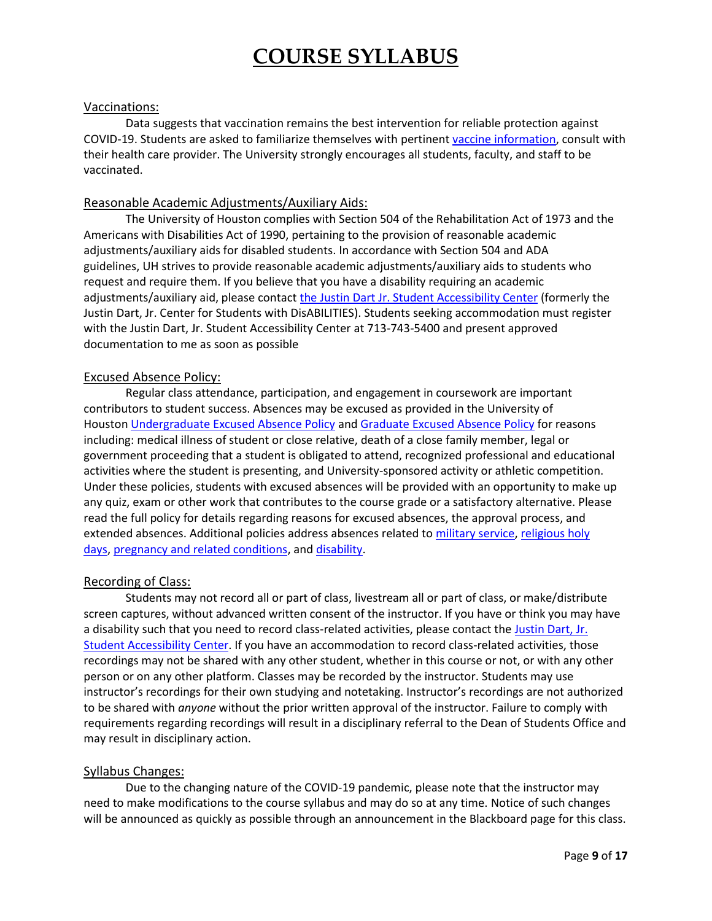#### Vaccinations:

Data suggests that vaccination remains the best intervention for reliable protection against COVID-19. Students are asked to familiarize themselves with pertinent [vaccine information,](https://www.uh.edu/covid-19/information/vaccine/) consult with their health care provider. The University strongly encourages all students, faculty, and staff to be vaccinated.

#### Reasonable Academic Adjustments/Auxiliary Aids:

The University of Houston complies with Section 504 of the Rehabilitation Act of 1973 and the Americans with Disabilities Act of 1990, pertaining to the provision of reasonable academic adjustments/auxiliary aids for disabled students. In accordance with Section 504 and ADA guidelines, UH strives to provide reasonable academic adjustments/auxiliary aids to students who request and require them. If you believe that you have a disability requiring an academic adjustments/auxiliary aid, please contact [the Justin Dart Jr. Student Accessibility Center](https://uh.edu/accessibility/) (formerly the Justin Dart, Jr. Center for Students with DisABILITIES). Students seeking accommodation must register with the Justin Dart, Jr. Student Accessibility Center at 713-743-5400 and present approved documentation to me as soon as possible

#### Excused Absence Policy:

Regular class attendance, participation, and engagement in coursework are important contributors to student success. Absences may be excused as provided in the University of Houston [Undergraduate Excused Absence Policy](http://catalog.uh.edu/content.php?catoid=36&navoid=13956) and [Graduate Excused Absence Policy](https://uh.edu/provost/policies-resources/student/excused-absence-policy/) for reasons including: medical illness of student or close relative, death of a close family member, legal or government proceeding that a student is obligated to attend, recognized professional and educational activities where the student is presenting, and University-sponsored activity or athletic competition. Under these policies, students with excused absences will be provided with an opportunity to make up any quiz, exam or other work that contributes to the course grade or a satisfactory alternative. Please read the full policy for details regarding reasons for excused absences, the approval process, and extended absences. Additional policies address absences related to [military service,](http://publications.uh.edu/content.php?catoid=34&navoid=12714) [religious holy](http://publications.uh.edu/content.php?catoid=34&navoid=12495)  [days,](http://publications.uh.edu/content.php?catoid=34&navoid=12495) [pregnancy and related conditions,](https://uhsystem.edu/compliance-ethics/_docs/sam/01/1d7.pdf) and [disability.](https://uhsystem.edu/compliance-ethics/_docs/sam/01/1d9.pdf)

#### Recording of Class:

Students may not record all or part of class, livestream all or part of class, or make/distribute screen captures, without advanced written consent of the instructor. If you have or think you may have a disability such that you need to record class-related activities, please contact the [Justin Dart, Jr.](https://uh.edu/accessibility/)  [Student Accessibility Center.](https://uh.edu/accessibility/) If you have an accommodation to record class-related activities, those recordings may not be shared with any other student, whether in this course or not, or with any other person or on any other platform. Classes may be recorded by the instructor. Students may use instructor's recordings for their own studying and notetaking. Instructor's recordings are not authorized to be shared with *anyone* without the prior written approval of the instructor. Failure to comply with requirements regarding recordings will result in a disciplinary referral to the Dean of Students Office and may result in disciplinary action.

#### Syllabus Changes:

Due to the changing nature of the COVID-19 pandemic, please note that the instructor may need to make modifications to the course syllabus and may do so at any time. Notice of such changes will be announced as quickly as possible through an announcement in the Blackboard page for this class.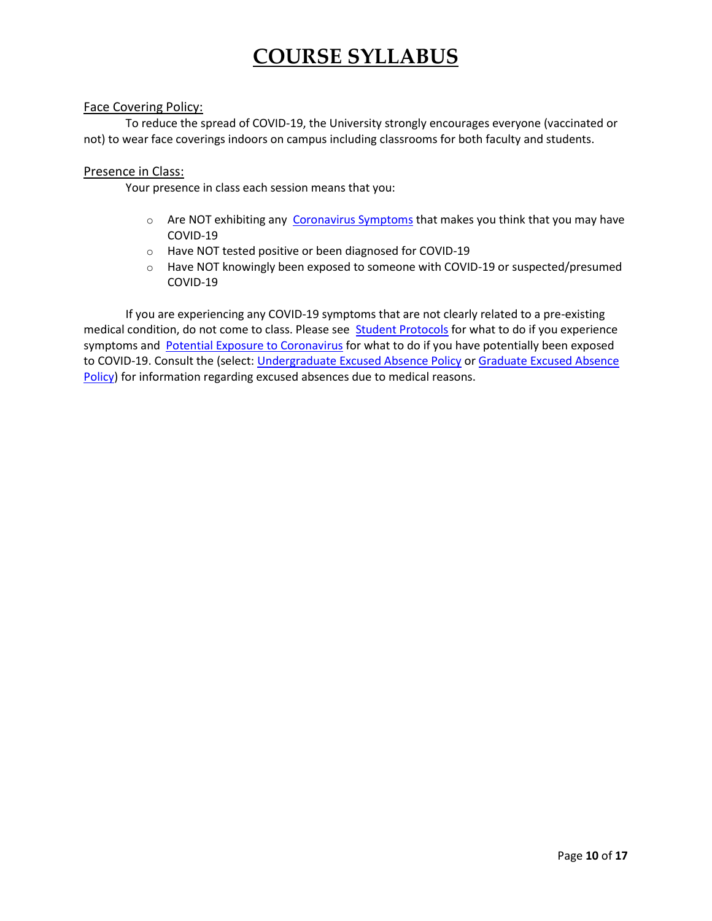#### Face Covering Policy:

To reduce the spread of COVID-19, the University strongly encourages everyone (vaccinated or not) to wear face coverings indoors on campus including classrooms for both faculty and students.

#### Presence in Class:

Your presence in class each session means that you:

- o Are NOT exhibiting any [Coronavirus Symptoms](https://www.uh.edu/covid-19/information/coronavirus-symptoms/) that makes you think that you may have COVID-19
- o Have NOT tested positive or been diagnosed for COVID-19
- $\circ$  Have NOT knowingly been exposed to someone with COVID-19 or suspected/presumed COVID-19

If you are experiencing any COVID-19 symptoms that are not clearly related to a pre-existing medical condition, do not come to class. Please see **[Student Protocols](https://www.uh.edu/covid-19/guidelines-protocols/diagnosis-symptoms/#students)** for what to do if you experience symptoms and [Potential Exposure to Coronavirus](https://www.uh.edu/covid-19/information/potential-exposure-coronavirus/) for what to do if you have potentially been exposed to COVID-19. Consult the (select: [Undergraduate Excused Absence Policy](http://catalog.uh.edu/content.php?catoid=36&navoid=13956) or Graduate Excused Absence [Policy\)](https://uh.edu/provost/policies-resources/student/excused-absence-policy/) for information regarding excused absences due to medical reasons.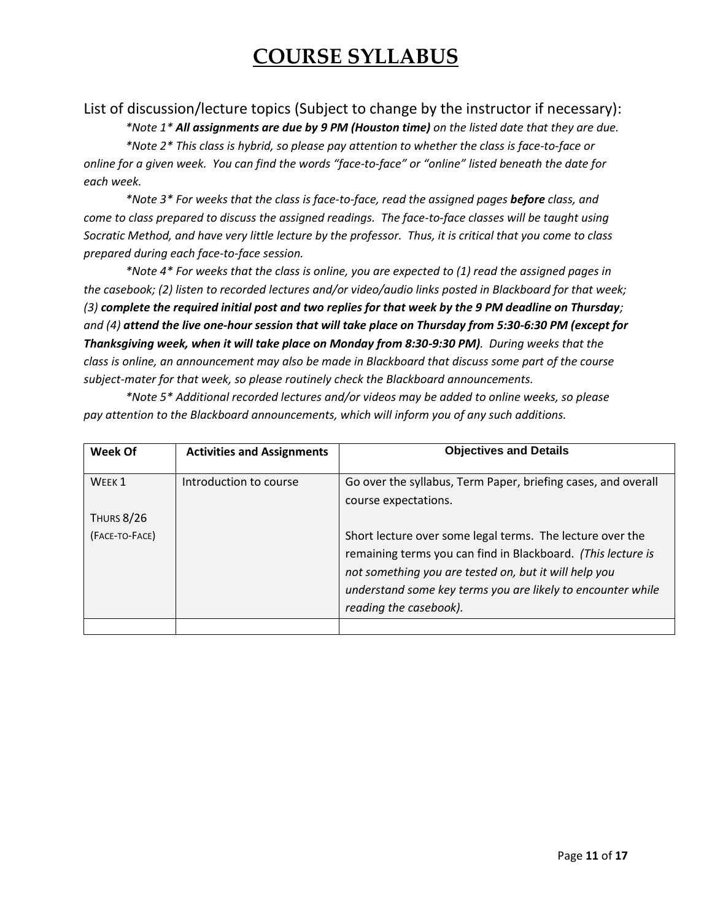### List of discussion/lecture topics (Subject to change by the instructor if necessary):

*\*Note 1\* All assignments are due by 9 PM (Houston time) on the listed date that they are due. \*Note 2\* This class is hybrid, so please pay attention to whether the class is face-to-face or online for a given week. You can find the words "face-to-face" or "online" listed beneath the date for each week.*

*\*Note 3\* For weeks that the class is face-to-face, read the assigned pages before class, and come to class prepared to discuss the assigned readings. The face-to-face classes will be taught using Socratic Method, and have very little lecture by the professor. Thus, it is critical that you come to class prepared during each face-to-face session.*

*\*Note 4\* For weeks that the class is online, you are expected to (1) read the assigned pages in the casebook; (2) listen to recorded lectures and/or video/audio links posted in Blackboard for that week; (3) complete the required initial post and two replies for that week by the 9 PM deadline on Thursday; and (4) attend the live one-hour session that will take place on Thursday from 5:30-6:30 PM (except for Thanksgiving week, when it will take place on Monday from 8:30-9:30 PM). During weeks that the class is online, an announcement may also be made in Blackboard that discuss some part of the course subject-mater for that week, so please routinely check the Blackboard announcements.*

*\*Note 5\* Additional recorded lectures and/or videos may be added to online weeks, so please pay attention to the Blackboard announcements, which will inform you of any such additions.*

| Week Of           | <b>Activities and Assignments</b> | <b>Objectives and Details</b>                                                                                                                                                                                                                                               |
|-------------------|-----------------------------------|-----------------------------------------------------------------------------------------------------------------------------------------------------------------------------------------------------------------------------------------------------------------------------|
|                   |                                   |                                                                                                                                                                                                                                                                             |
| WFFK <sub>1</sub> | Introduction to course            | Go over the syllabus, Term Paper, briefing cases, and overall                                                                                                                                                                                                               |
|                   |                                   | course expectations.                                                                                                                                                                                                                                                        |
| <b>THURS 8/26</b> |                                   |                                                                                                                                                                                                                                                                             |
| (FACE-TO-FACE)    |                                   | Short lecture over some legal terms. The lecture over the<br>remaining terms you can find in Blackboard. (This lecture is<br>not something you are tested on, but it will help you<br>understand some key terms you are likely to encounter while<br>reading the casebook). |
|                   |                                   |                                                                                                                                                                                                                                                                             |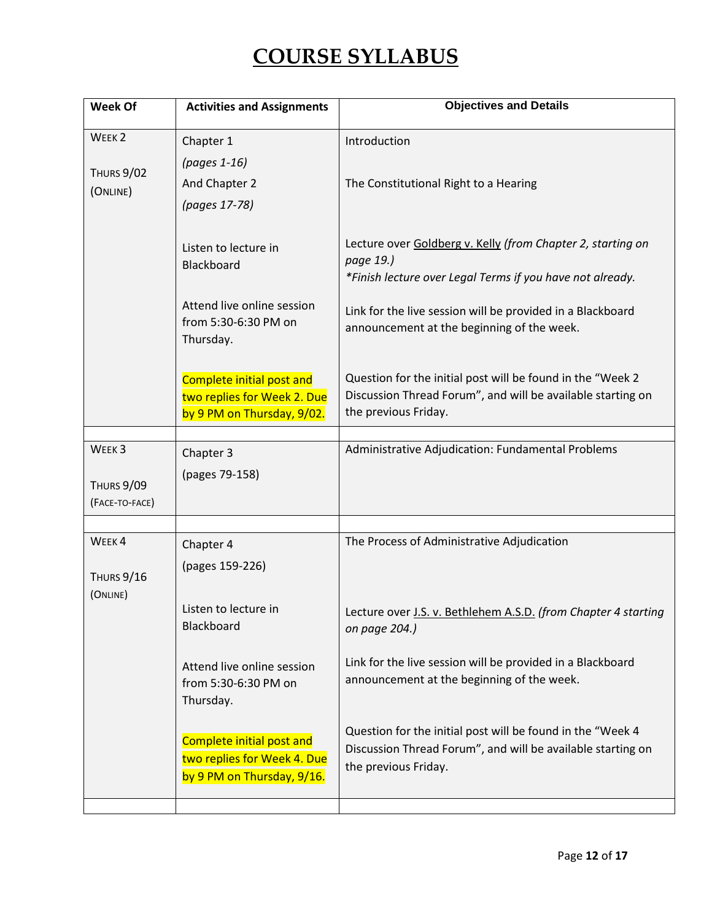| Week Of                       | <b>Activities and Assignments</b>                                                                                                         | <b>Objectives and Details</b>                                                                                                                                                                                                                                                                                   |
|-------------------------------|-------------------------------------------------------------------------------------------------------------------------------------------|-----------------------------------------------------------------------------------------------------------------------------------------------------------------------------------------------------------------------------------------------------------------------------------------------------------------|
| WEEK <sub>2</sub>             | Chapter 1                                                                                                                                 | Introduction                                                                                                                                                                                                                                                                                                    |
|                               | (pages 1-16)                                                                                                                              |                                                                                                                                                                                                                                                                                                                 |
| THURS 9/02<br>(ONLINE)        | And Chapter 2                                                                                                                             | The Constitutional Right to a Hearing                                                                                                                                                                                                                                                                           |
|                               | (pages 17-78)                                                                                                                             |                                                                                                                                                                                                                                                                                                                 |
|                               | Listen to lecture in<br>Blackboard<br>Attend live online session<br>from 5:30-6:30 PM on<br>Thursday.<br><b>Complete initial post and</b> | Lecture over Goldberg v. Kelly (from Chapter 2, starting on<br>page 19.)<br>*Finish lecture over Legal Terms if you have not already.<br>Link for the live session will be provided in a Blackboard<br>announcement at the beginning of the week.<br>Question for the initial post will be found in the "Week 2 |
|                               | two replies for Week 2. Due                                                                                                               | Discussion Thread Forum", and will be available starting on                                                                                                                                                                                                                                                     |
|                               | by 9 PM on Thursday, 9/02.                                                                                                                | the previous Friday.                                                                                                                                                                                                                                                                                            |
| WEEK <sub>3</sub>             |                                                                                                                                           |                                                                                                                                                                                                                                                                                                                 |
|                               | Chapter 3                                                                                                                                 | Administrative Adjudication: Fundamental Problems                                                                                                                                                                                                                                                               |
| THURS 9/09<br>(FACE-TO-FACE)  | (pages 79-158)                                                                                                                            |                                                                                                                                                                                                                                                                                                                 |
|                               |                                                                                                                                           |                                                                                                                                                                                                                                                                                                                 |
| WEEK4                         | Chapter 4                                                                                                                                 | The Process of Administrative Adjudication                                                                                                                                                                                                                                                                      |
| <b>THURS 9/16</b><br>(ONLINE) | (pages 159-226)                                                                                                                           |                                                                                                                                                                                                                                                                                                                 |
|                               | Listen to lecture in<br>Blackboard                                                                                                        | Lecture over J.S. v. Bethlehem A.S.D. (from Chapter 4 starting<br>on page 204.)                                                                                                                                                                                                                                 |
|                               | Attend live online session<br>from 5:30-6:30 PM on<br>Thursday.                                                                           | Link for the live session will be provided in a Blackboard<br>announcement at the beginning of the week.                                                                                                                                                                                                        |
|                               | Complete initial post and<br>two replies for Week 4. Due<br>by 9 PM on Thursday, 9/16.                                                    | Question for the initial post will be found in the "Week 4<br>Discussion Thread Forum", and will be available starting on<br>the previous Friday.                                                                                                                                                               |
|                               |                                                                                                                                           |                                                                                                                                                                                                                                                                                                                 |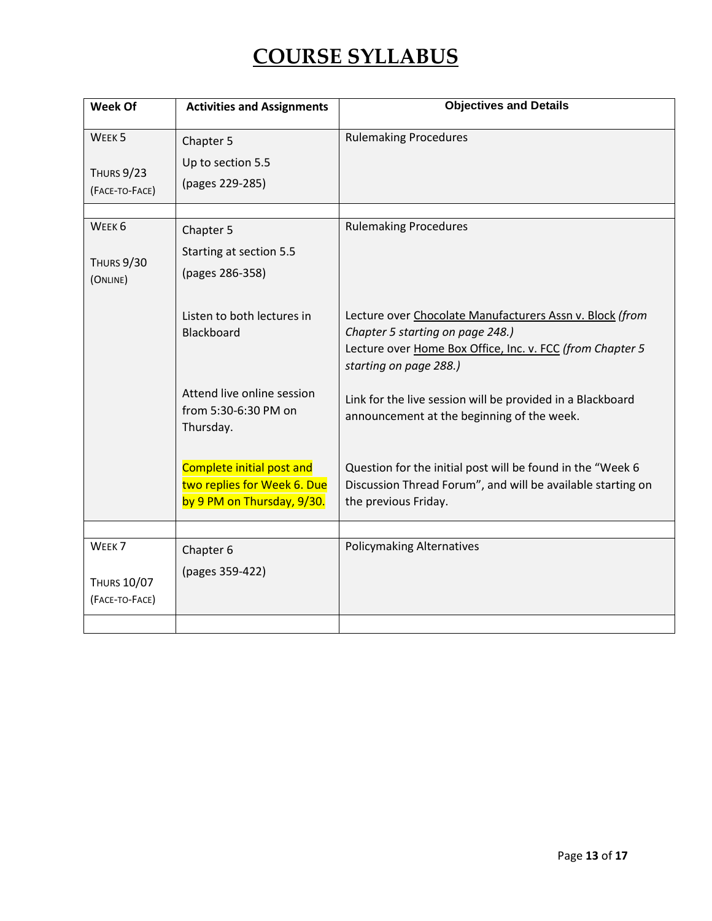| Week Of                                                  | <b>Activities and Assignments</b>                                                             | <b>Objectives and Details</b>                                                                                                                                                       |
|----------------------------------------------------------|-----------------------------------------------------------------------------------------------|-------------------------------------------------------------------------------------------------------------------------------------------------------------------------------------|
| WEEK <sub>5</sub><br><b>THURS 9/23</b><br>(FACE-TO-FACE) | Chapter 5<br>Up to section 5.5<br>(pages 229-285)                                             | <b>Rulemaking Procedures</b>                                                                                                                                                        |
| WEEK <sub>6</sub><br><b>THURS 9/30</b><br>(ONLINE)       | Chapter 5<br>Starting at section 5.5<br>(pages 286-358)                                       | <b>Rulemaking Procedures</b>                                                                                                                                                        |
|                                                          | Listen to both lectures in<br>Blackboard                                                      | Lecture over Chocolate Manufacturers Assn v. Block (from<br>Chapter 5 starting on page 248.)<br>Lecture over Home Box Office, Inc. v. FCC (from Chapter 5<br>starting on page 288.) |
|                                                          | Attend live online session<br>from 5:30-6:30 PM on<br>Thursday.                               | Link for the live session will be provided in a Blackboard<br>announcement at the beginning of the week.                                                                            |
|                                                          | <b>Complete initial post and</b><br>two replies for Week 6. Due<br>by 9 PM on Thursday, 9/30. | Question for the initial post will be found in the "Week 6<br>Discussion Thread Forum", and will be available starting on<br>the previous Friday.                                   |
| WEEK <sub>7</sub>                                        | Chapter 6                                                                                     | <b>Policymaking Alternatives</b>                                                                                                                                                    |
| <b>THURS 10/07</b><br>(FACE-TO-FACE)                     | (pages 359-422)                                                                               |                                                                                                                                                                                     |
|                                                          |                                                                                               |                                                                                                                                                                                     |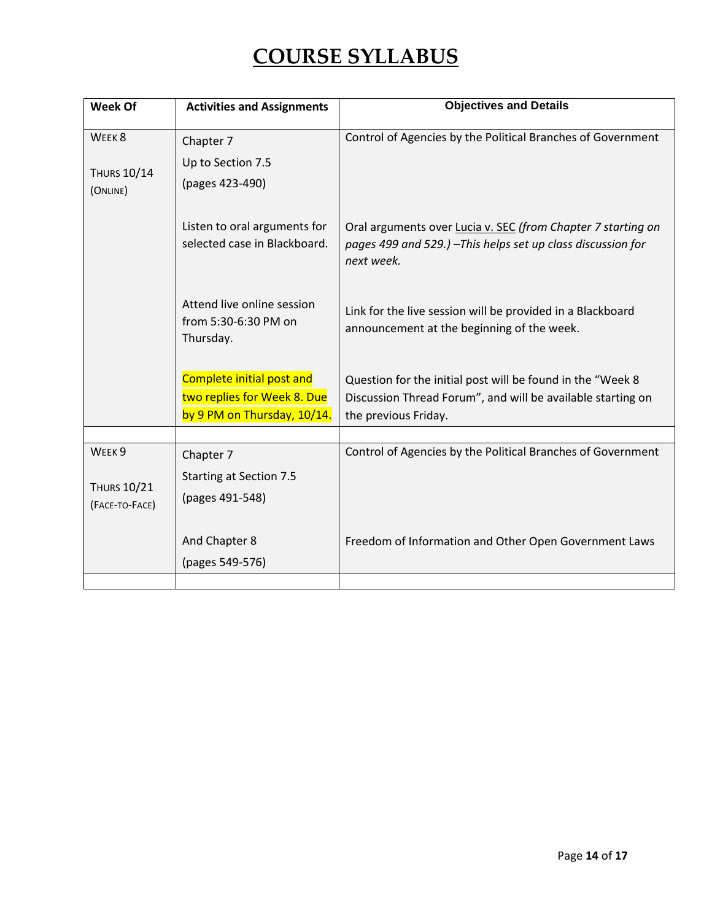| Week Of                                                   | <b>Activities and Assignments</b>                                                       | <b>Objectives and Details</b>                                                                                                                     |
|-----------------------------------------------------------|-----------------------------------------------------------------------------------------|---------------------------------------------------------------------------------------------------------------------------------------------------|
| WEEK <sub>8</sub><br><b>THURS 10/14</b><br>(ONLINE)       | Chapter 7<br>Up to Section 7.5<br>(pages 423-490)                                       | Control of Agencies by the Political Branches of Government                                                                                       |
|                                                           | Listen to oral arguments for<br>selected case in Blackboard.                            | Oral arguments over Lucia v. SEC (from Chapter 7 starting on<br>pages 499 and 529.) - This helps set up class discussion for<br>next week.        |
|                                                           | Attend live online session<br>from 5:30-6:30 PM on<br>Thursday.                         | Link for the live session will be provided in a Blackboard<br>announcement at the beginning of the week.                                          |
|                                                           | Complete initial post and<br>two replies for Week 8. Due<br>by 9 PM on Thursday, 10/14. | Question for the initial post will be found in the "Week 8<br>Discussion Thread Forum", and will be available starting on<br>the previous Friday. |
| WEEK <sub>9</sub><br><b>THURS 10/21</b><br>(FACE-TO-FACE) | Chapter 7<br><b>Starting at Section 7.5</b><br>(pages 491-548)                          | Control of Agencies by the Political Branches of Government                                                                                       |
|                                                           | And Chapter 8<br>(pages 549-576)                                                        | Freedom of Information and Other Open Government Laws                                                                                             |
|                                                           |                                                                                         |                                                                                                                                                   |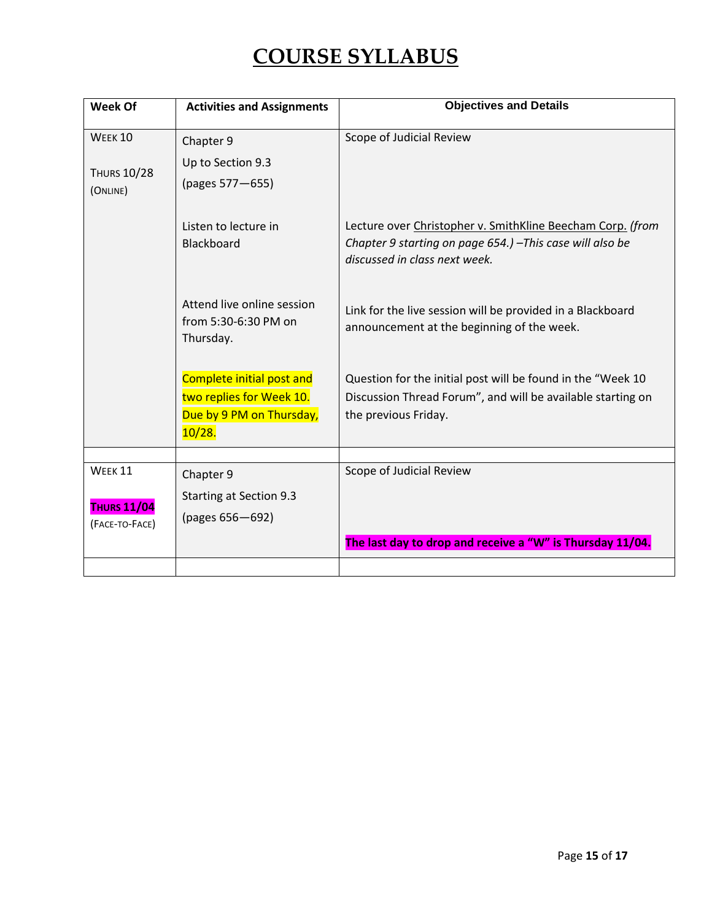| Week Of                                         | <b>Activities and Assignments</b>                                                           | <b>Objectives and Details</b>                                                                                                                            |
|-------------------------------------------------|---------------------------------------------------------------------------------------------|----------------------------------------------------------------------------------------------------------------------------------------------------------|
| <b>WEEK 10</b>                                  | Chapter 9                                                                                   | Scope of Judicial Review                                                                                                                                 |
| <b>THURS 10/28</b><br>(ONLINE)                  | Up to Section 9.3<br>(pages 577-655)                                                        |                                                                                                                                                          |
|                                                 | Listen to lecture in<br><b>Blackboard</b>                                                   | Lecture over Christopher v. SmithKline Beecham Corp. (from<br>Chapter 9 starting on page 654.) - This case will also be<br>discussed in class next week. |
|                                                 | Attend live online session<br>from 5:30-6:30 PM on<br>Thursday.                             | Link for the live session will be provided in a Blackboard<br>announcement at the beginning of the week.                                                 |
|                                                 | Complete initial post and<br>two replies for Week 10.<br>Due by 9 PM on Thursday,<br>10/28. | Question for the initial post will be found in the "Week 10<br>Discussion Thread Forum", and will be available starting on<br>the previous Friday.       |
| WEEK 11<br><b>THURS 11/04</b><br>(FACE-TO-FACE) | Chapter 9<br>Starting at Section 9.3<br>(pages 656-692)                                     | Scope of Judicial Review                                                                                                                                 |
|                                                 |                                                                                             | The last day to drop and receive a "W" is Thursday 11/04.                                                                                                |
|                                                 |                                                                                             |                                                                                                                                                          |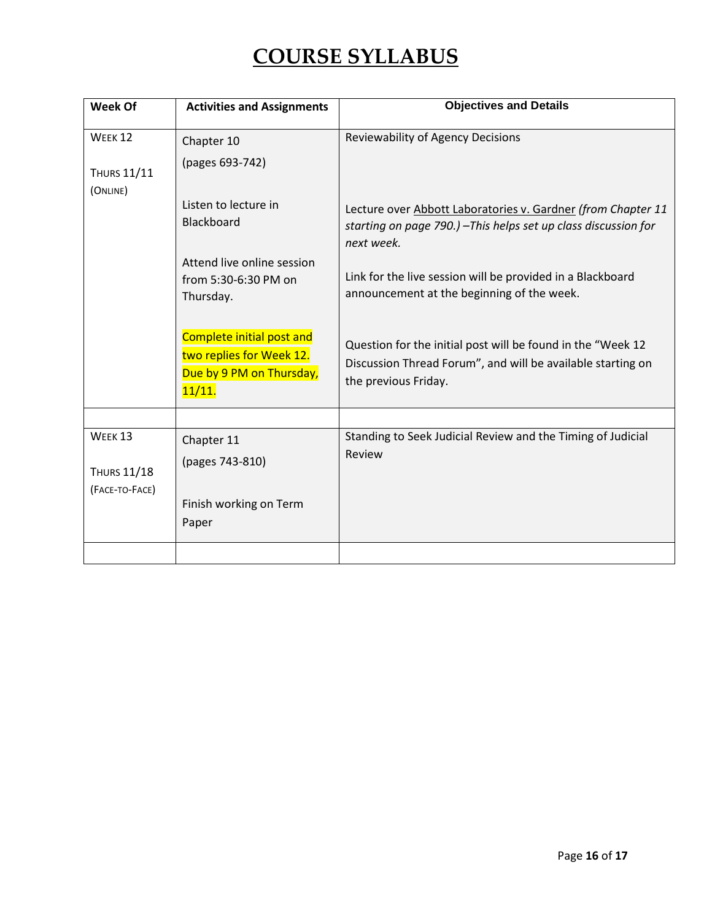| Week Of                                                    | <b>Activities and Assignments</b>                                                           | <b>Objectives and Details</b>                                                                                                                      |
|------------------------------------------------------------|---------------------------------------------------------------------------------------------|----------------------------------------------------------------------------------------------------------------------------------------------------|
| WEEK <sub>12</sub><br><b>THURS 11/11</b>                   | Chapter 10<br>(pages 693-742)                                                               | <b>Reviewability of Agency Decisions</b>                                                                                                           |
| (ONLINE)                                                   | Listen to lecture in<br><b>Blackboard</b>                                                   | Lecture over Abbott Laboratories v. Gardner (from Chapter 11<br>starting on page 790.) - This helps set up class discussion for<br>next week.      |
|                                                            | Attend live online session<br>from 5:30-6:30 PM on<br>Thursday.                             | Link for the live session will be provided in a Blackboard<br>announcement at the beginning of the week.                                           |
|                                                            | Complete initial post and<br>two replies for Week 12.<br>Due by 9 PM on Thursday,<br>11/11. | Question for the initial post will be found in the "Week 12<br>Discussion Thread Forum", and will be available starting on<br>the previous Friday. |
| WEEK <sub>13</sub><br><b>THURS 11/18</b><br>(FACE-TO-FACE) | Chapter 11<br>(pages 743-810)<br>Finish working on Term<br>Paper                            | Standing to Seek Judicial Review and the Timing of Judicial<br>Review                                                                              |
|                                                            |                                                                                             |                                                                                                                                                    |